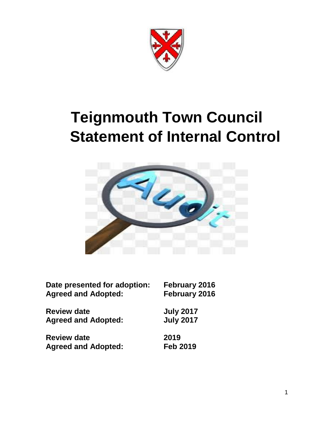

# **Teignmouth Town Council Statement of Internal Control**



| Date presented for adoption: | February 2016    |
|------------------------------|------------------|
| <b>Agreed and Adopted:</b>   | February 2016    |
| <b>Review date</b>           | <b>July 2017</b> |
| <b>Agreed and Adopted:</b>   | <b>July 2017</b> |
| <b>Review date</b>           | 2019             |
| <b>Agreed and Adopted:</b>   | <b>Feb 2019</b>  |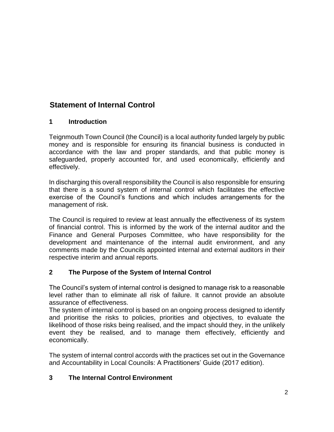# **Statement of Internal Control**

#### **1 Introduction**

Teignmouth Town Council (the Council) is a local authority funded largely by public money and is responsible for ensuring its financial business is conducted in accordance with the law and proper standards, and that public money is safeguarded, properly accounted for, and used economically, efficiently and effectively.

In discharging this overall responsibility the Council is also responsible for ensuring that there is a sound system of internal control which facilitates the effective exercise of the Council's functions and which includes arrangements for the management of risk.

The Council is required to review at least annually the effectiveness of its system of financial control. This is informed by the work of the internal auditor and the Finance and General Purposes Committee, who have responsibility for the development and maintenance of the internal audit environment, and any comments made by the Councils appointed internal and external auditors in their respective interim and annual reports.

## **2 The Purpose of the System of Internal Control**

The Council's system of internal control is designed to manage risk to a reasonable level rather than to eliminate all risk of failure. It cannot provide an absolute assurance of effectiveness.

The system of internal control is based on an ongoing process designed to identify and prioritise the risks to policies, priorities and objectives, to evaluate the likelihood of those risks being realised, and the impact should they, in the unlikely event they be realised, and to manage them effectively, efficiently and economically.

The system of internal control accords with the practices set out in the Governance and Accountability in Local Councils: A Practitioners' Guide (2017 edition).

## **3 The Internal Control Environment**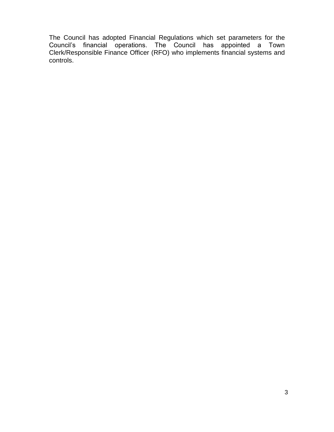The Council has adopted Financial Regulations which set parameters for the Council's financial operations. The Council has appointed a Town Clerk/Responsible Finance Officer (RFO) who implements financial systems and controls.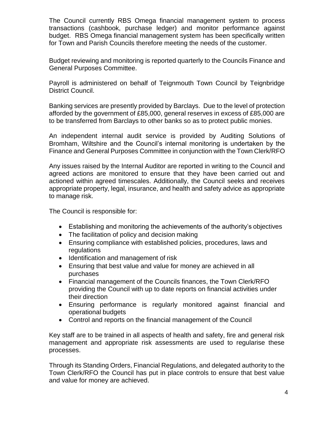The Council currently RBS Omega financial management system to process transactions (cashbook, purchase ledger) and monitor performance against budget. RBS Omega financial management system has been specifically written for Town and Parish Councils therefore meeting the needs of the customer.

Budget reviewing and monitoring is reported quarterly to the Councils Finance and General Purposes Committee.

Payroll is administered on behalf of Teignmouth Town Council by Teignbridge District Council.

Banking services are presently provided by Barclays. Due to the level of protection afforded by the government of £85,000, general reserves in excess of £85,000 are to be transferred from Barclays to other banks so as to protect public monies.

An independent internal audit service is provided by Auditing Solutions of Bromham, Wiltshire and the Council's internal monitoring is undertaken by the Finance and General Purposes Committee in conjunction with the Town Clerk/RFO

Any issues raised by the Internal Auditor are reported in writing to the Council and agreed actions are monitored to ensure that they have been carried out and actioned within agreed timescales. Additionally, the Council seeks and receives appropriate property, legal, insurance, and health and safety advice as appropriate to manage risk.

The Council is responsible for:

- Establishing and monitoring the achievements of the authority's objectives
- The facilitation of policy and decision making
- Ensuring compliance with established policies, procedures, laws and regulations
- Identification and management of risk
- Ensuring that best value and value for money are achieved in all purchases
- Financial management of the Councils finances, the Town Clerk/RFO providing the Council with up to date reports on financial activities under their direction
- Ensuring performance is regularly monitored against financial and operational budgets
- Control and reports on the financial management of the Council

Key staff are to be trained in all aspects of health and safety, fire and general risk management and appropriate risk assessments are used to regularise these processes.

Through its Standing Orders, Financial Regulations, and delegated authority to the Town Clerk/RFO the Council has put in place controls to ensure that best value and value for money are achieved.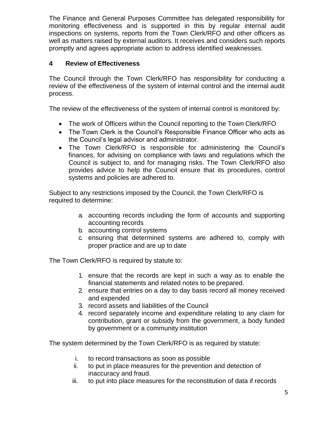The Finance and General Purposes Committee has delegated responsibility for monitoring effectiveness and is supported in this by regular internal audit inspections on systems, reports from the Town Clerk/RFO and other officers as well as matters raised by external auditors. It receives and considers such reports promptly and agrees appropriate action to address identified weaknesses.

#### **4 Review of Effectiveness**

The Council through the Town Clerk/RFO has responsibility for conducting a review of the effectiveness of the system of internal control and the internal audit process.

The review of the effectiveness of the system of internal control is monitored by:

- The work of Officers within the Council reporting to the Town Clerk/RFO
- The Town Clerk is the Council's Responsible Finance Officer who acts as the Council's legal advisor and administrator.
- The Town Clerk/RFO is responsible for administering the Council's finances, for advising on compliance with laws and regulations which the Council is subject to, and for managing risks. The Town Clerk/RFO also provides advice to help the Council ensure that its procedures, control systems and policies are adhered to.

Subject to any restrictions imposed by the Council, the Town Clerk/RFO is required to determine:

- a. accounting records including the form of accounts and supporting accounting records
- b. accounting control systems
- c. ensuring that determined systems are adhered to, comply with proper practice and are up to date

The Town Clerk/RFO is required by statute to:

- 1. ensure that the records are kept in such a way as to enable the financial statements and related notes to be prepared.
- 2. ensure that entries on a day to day basis record all money received and expended
- 3. record assets and liabilities of the Council
- 4. record separately income and expenditure relating to any claim for contribution, grant or subsidy from the government, a body funded by government or a community institution

The system determined by the Town Clerk/RFO is as required by statute:

- i. to record transactions as soon as possible
- ii. to put in place measures for the prevention and detection of inaccuracy and fraud.
- iii. to put into place measures for the reconstitution of data if records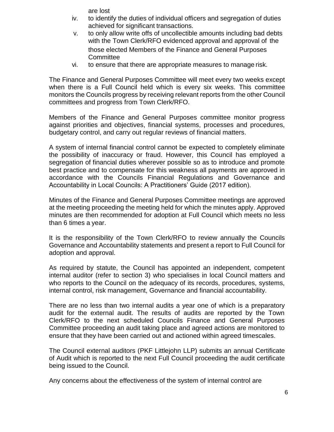are lost

- iv. to identify the duties of individual officers and segregation of duties achieved for significant transactions.
- v. to only allow write offs of uncollectible amounts including bad debts with the Town Clerk/RFO evidenced approval and approval of the those elected Members of the Finance and General Purposes **Committee**
- vi. to ensure that there are appropriate measures to manage risk.

The Finance and General Purposes Committee will meet every two weeks except when there is a Full Council held which is every six weeks. This committee monitors the Councils progress by receiving relevant reports from the other Council committees and progress from Town Clerk/RFO.

Members of the Finance and General Purposes committee monitor progress against priorities and objectives, financial systems, processes and procedures, budgetary control, and carry out regular reviews of financial matters.

A system of internal financial control cannot be expected to completely eliminate the possibility of inaccuracy or fraud. However, this Council has employed a segregation of financial duties wherever possible so as to introduce and promote best practice and to compensate for this weakness all payments are approved in accordance with the Councils Financial Regulations and Governance and Accountability in Local Councils: A Practitioners' Guide (2017 edition).

Minutes of the Finance and General Purposes Committee meetings are approved at the meeting proceeding the meeting held for which the minutes apply. Approved minutes are then recommended for adoption at Full Council which meets no less than 6 times a year.

It is the responsibility of the Town Clerk/RFO to review annually the Councils Governance and Accountability statements and present a report to Full Council for adoption and approval.

As required by statute, the Council has appointed an independent, competent internal auditor (refer to section 3) who specialises in local Council matters and who reports to the Council on the adequacy of its records, procedures, systems, internal control, risk management, Governance and financial accountability.

There are no less than two internal audits a year one of which is a preparatory audit for the external audit. The results of audits are reported by the Town Clerk/RFO to the next scheduled Councils Finance and General Purposes Committee proceeding an audit taking place and agreed actions are monitored to ensure that they have been carried out and actioned within agreed timescales.

The Council external auditors (PKF Littlejohn LLP) submits an annual Certificate of Audit which is reported to the next Full Council proceeding the audit certificate being issued to the Council.

Any concerns about the effectiveness of the system of internal control are